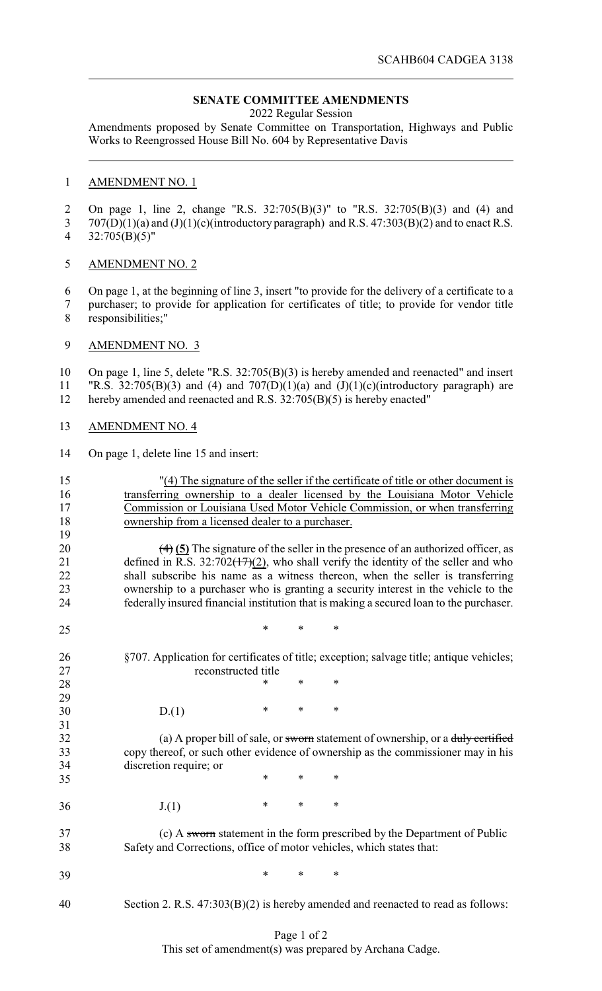## **SENATE COMMITTEE AMENDMENTS**

2022 Regular Session

Amendments proposed by Senate Committee on Transportation, Highways and Public Works to Reengrossed House Bill No. 604 by Representative Davis

## AMENDMENT NO. 1

 On page 1, line 2, change "R.S. 32:705(B)(3)" to "R.S. 32:705(B)(3) and (4) and 707(D)(1)(a) and (J)(1)(c)(introductory paragraph) and R.S. 47:303(B)(2) and to enact R.S. 32:705(B)(5)"

AMENDMENT NO. 2

 On page 1, at the beginning of line 3, insert "to provide for the delivery of a certificate to a purchaser; to provide for application for certificates of title; to provide for vendor title responsibilities;"

AMENDMENT NO. 3

 On page 1, line 5, delete "R.S. 32:705(B)(3) is hereby amended and reenacted" and insert 11 "R.S.  $32:705(B)(3)$  and (4) and  $707(D)(1)(a)$  and  $(J)(1)(c)(introductiony paragraph)$  are hereby amended and reenacted and R.S. 32:705(B)(5) is hereby enacted"

- AMENDMENT NO. 4
- On page 1, delete line 15 and insert:

| 15<br>16<br>17<br>18<br>19 | "(4) The signature of the seller if the certificate of title or other document is<br>transferring ownership to a dealer licensed by the Louisiana Motor Vehicle<br>Commission or Louisiana Used Motor Vehicle Commission, or when transferring<br>ownership from a licensed dealer to a purchaser. |        |        |                                                                                    |  |  |  |  |
|----------------------------|----------------------------------------------------------------------------------------------------------------------------------------------------------------------------------------------------------------------------------------------------------------------------------------------------|--------|--------|------------------------------------------------------------------------------------|--|--|--|--|
| 20                         |                                                                                                                                                                                                                                                                                                    |        |        |                                                                                    |  |  |  |  |
| 21                         | $\left(\frac{4}{5}\right)$ The signature of the seller in the presence of an authorized officer, as<br>defined in R.S. $32:702(17)(2)$ , who shall verify the identity of the seller and who                                                                                                       |        |        |                                                                                    |  |  |  |  |
| 22                         | shall subscribe his name as a witness thereon, when the seller is transferring                                                                                                                                                                                                                     |        |        |                                                                                    |  |  |  |  |
| 23                         | ownership to a purchaser who is granting a security interest in the vehicle to the                                                                                                                                                                                                                 |        |        |                                                                                    |  |  |  |  |
| 24                         | federally insured financial institution that is making a secured loan to the purchaser.                                                                                                                                                                                                            |        |        |                                                                                    |  |  |  |  |
| 25                         |                                                                                                                                                                                                                                                                                                    | *      | $\ast$ | $\ast$                                                                             |  |  |  |  |
| 26                         | §707. Application for certificates of title; exception; salvage title; antique vehicles;                                                                                                                                                                                                           |        |        |                                                                                    |  |  |  |  |
| 27                         | reconstructed title                                                                                                                                                                                                                                                                                |        |        |                                                                                    |  |  |  |  |
| 28                         |                                                                                                                                                                                                                                                                                                    | *      | $\ast$ | $\ast$                                                                             |  |  |  |  |
| 29                         |                                                                                                                                                                                                                                                                                                    |        |        |                                                                                    |  |  |  |  |
| 30                         | D(1)                                                                                                                                                                                                                                                                                               | $\ast$ | *      | *                                                                                  |  |  |  |  |
| 31                         |                                                                                                                                                                                                                                                                                                    |        |        |                                                                                    |  |  |  |  |
| 32                         | (a) A proper bill of sale, or sworn statement of ownership, or a duly certified                                                                                                                                                                                                                    |        |        |                                                                                    |  |  |  |  |
| 33                         | copy thereof, or such other evidence of ownership as the commissioner may in his                                                                                                                                                                                                                   |        |        |                                                                                    |  |  |  |  |
| 34                         | discretion require; or                                                                                                                                                                                                                                                                             |        |        |                                                                                    |  |  |  |  |
| 35                         |                                                                                                                                                                                                                                                                                                    | *      | *      | *                                                                                  |  |  |  |  |
| 36                         | J(1)                                                                                                                                                                                                                                                                                               | $\ast$ | $\ast$ | $\ast$                                                                             |  |  |  |  |
| 37                         |                                                                                                                                                                                                                                                                                                    |        |        | (c) A sworn statement in the form prescribed by the Department of Public           |  |  |  |  |
| 38                         | Safety and Corrections, office of motor vehicles, which states that:                                                                                                                                                                                                                               |        |        |                                                                                    |  |  |  |  |
| 39                         |                                                                                                                                                                                                                                                                                                    | $\ast$ | $\ast$ | *                                                                                  |  |  |  |  |
| 40                         |                                                                                                                                                                                                                                                                                                    |        |        | Section 2. R.S. $47:303(B)(2)$ is hereby amended and reenacted to read as follows: |  |  |  |  |

## Page 1 of 2

This set of amendment(s) was prepared by Archana Cadge.